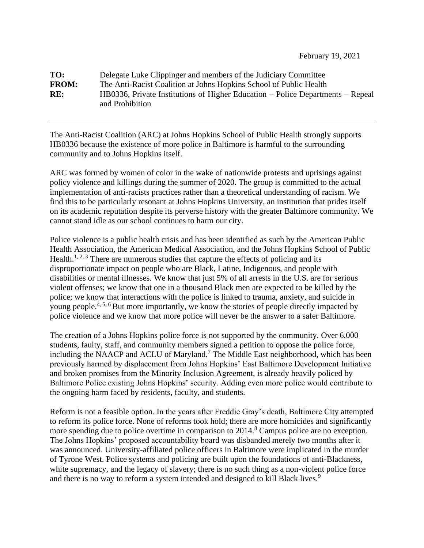## **TO:** Delegate Luke Clippinger and members of the Judiciary Committee **FROM:** The Anti-Racist Coalition at Johns Hopkins School of Public Health **RE:** HB0336, Private Institutions of Higher Education – Police Departments – Repeal and Prohibition

The Anti-Racist Coalition (ARC) at Johns Hopkins School of Public Health strongly supports HB0336 because the existence of more police in Baltimore is harmful to the surrounding community and to Johns Hopkins itself.

ARC was formed by women of color in the wake of nationwide protests and uprisings against policy violence and killings during the summer of 2020. The group is committed to the actual implementation of anti-racists practices rather than a theoretical understanding of racism. We find this to be particularly resonant at Johns Hopkins University, an institution that prides itself on its academic reputation despite its perverse history with the greater Baltimore community. We cannot stand idle as our school continues to harm our city.

Police violence is a public health crisis and has been identified as such by the American Public Health Association, the American Medical Association, and the Johns Hopkins School of Public Health.<sup>1, 2, 3</sup> There are numerous studies that capture the effects of policing and its disproportionate impact on people who are Black, Latine, Indigenous, and people with disabilities or mental illnesses. We know that just 5% of all arrests in the U.S. are for serious violent offenses; we know that one in a thousand Black men are expected to be killed by the police; we know that interactions with the police is linked to trauma, anxiety, and suicide in young people.<sup>4, 5, 6</sup> But more importantly, we know the stories of people directly impacted by police violence and we know that more police will never be the answer to a safer Baltimore.

The creation of a Johns Hopkins police force is not supported by the community. Over 6,000 students, faulty, staff, and community members signed a petition to oppose the police force, including the NAACP and ACLU of Maryland.<sup>7</sup> The Middle East neighborhood, which has been previously harmed by displacement from Johns Hopkins' East Baltimore Development Initiative and broken promises from the Minority Inclusion Agreement, is already heavily policed by Baltimore Police existing Johns Hopkins' security. Adding even more police would contribute to the ongoing harm faced by residents, faculty, and students.

Reform is not a feasible option. In the years after Freddie Gray's death, Baltimore City attempted to reform its police force. None of reforms took hold; there are more homicides and significantly more spending due to police overtime in comparison to 2014.<sup>8</sup> Campus police are no exception. The Johns Hopkins' proposed accountability board was disbanded merely two months after it was announced. University-affiliated police officers in Baltimore were implicated in the murder of Tyrone West. Police systems and policing are built upon the foundations of anti-Blackness, white supremacy, and the legacy of slavery; there is no such thing as a non-violent police force and there is no way to reform a system intended and designed to kill Black lives.<sup>9</sup>